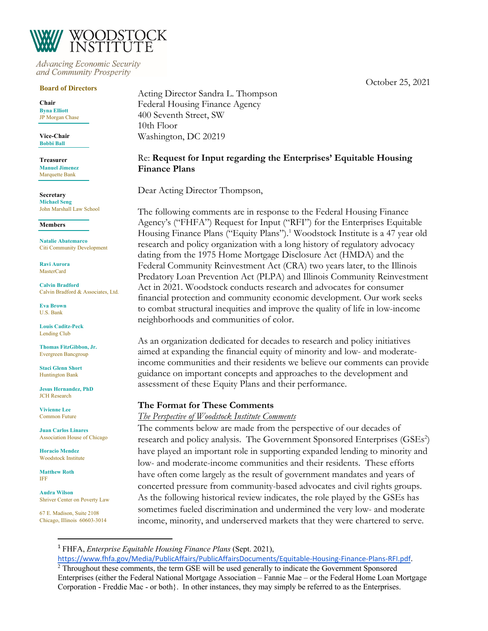October 25, 2021



**Advancing Economic Security** and Community Prosperity

#### **Board of Directors**

**Chair Byna Elliott** JP Morgan Chase

**Vice-Chair Bobbi Ball**

**Treasurer Manuel Jimenez** Marquette Bank

**Secretary Michael Seng** John Marshall Law School

#### **Members**

**Natalie Abatemarco** Citi Community Development

**Ravi Aurora MasterCard** 

**Calvin Bradford** Calvin Bradford & Associates, Ltd.

**Eva Brown** U.S. Bank

**Louis Caditz-Peck** Lending Club

**Thomas FitzGibbon, Jr.** Evergreen Bancgroup

**Staci Glenn Short** Huntington Bank

**Jesus Hernandez, PhD** JCH Research

**Vivienne Lee** Common Future

**Juan Carlos Linares** Association House of Chicago

**Horacio Mendez** Woodstock Institute

**Matthew Roth** IFF

**Audra Wilson** Shriver Center on Poverty Law

67 E. Madison, Suite 2108 Chicago, Illinois 60603-3014 Acting Director Sandra L. Thompson Federal Housing Finance Agency 400 Seventh Street, SW 10th Floor Washington, DC 20219

#### Re: **Request for Input regarding the Enterprises' Equitable Housing Finance Plans**

Dear Acting Director Thompson,

The following comments are in response to the Federal Housing Finance Agency's ("FHFA") Request for Input ("RFI") for the Enterprises Equitable Housing Finance Plans ("Equity Plans").<sup>1</sup> Woodstock Institute is a 47 year old research and policy organization with a long history of regulatory advocacy dating from the 1975 Home Mortgage Disclosure Act (HMDA) and the Federal Community Reinvestment Act (CRA) two years later, to the Illinois Predatory Loan Prevention Act (PLPA) and Illinois Community Reinvestment Act in 2021. Woodstock conducts research and advocates for consumer financial protection and community economic development. Our work seeks to combat structural inequities and improve the quality of life in low-income neighborhoods and communities of color.

As an organization dedicated for decades to research and policy initiatives aimed at expanding the financial equity of minority and low- and moderateincome communities and their residents we believe our comments can provide guidance on important concepts and approaches to the development and assessment of these Equity Plans and their performance.

#### **The Format for These Comments**

*The Perspective of Woodstock Institute Comments*

The comments below are made from the perspective of our decades of research and policy analysis. The Government Sponsored Enterprises (GSEs<sup>2</sup>) have played an important role in supporting expanded lending to minority and low- and moderate-income communities and their residents. These efforts have often come largely as the result of government mandates and years of concerted pressure from community-based advocates and civil rights groups. As the following historical review indicates, the role played by the GSEs has sometimes fueled discrimination and undermined the very low- and moderate income, minority, and underserved markets that they were chartered to serve.

<sup>1</sup> FHFA, *Enterprise Equitable Housing Finance Plans* (Sept. 2021),

https://www.fhfa.gov/Media/PublicAffairs/PublicAffairsDocuments/Equitable-Housing-Finance-Plans-RFI.pdf. <sup>2</sup> Throughout these comments, the term GSE will be used generally to indicate the Government Sponsored Enterprises (either the Federal National Mortgage Association – Fannie Mae – or the Federal Home Loan Mortgage Corporation - Freddie Mac - or both}. In other instances, they may simply be referred to as the Enterprises.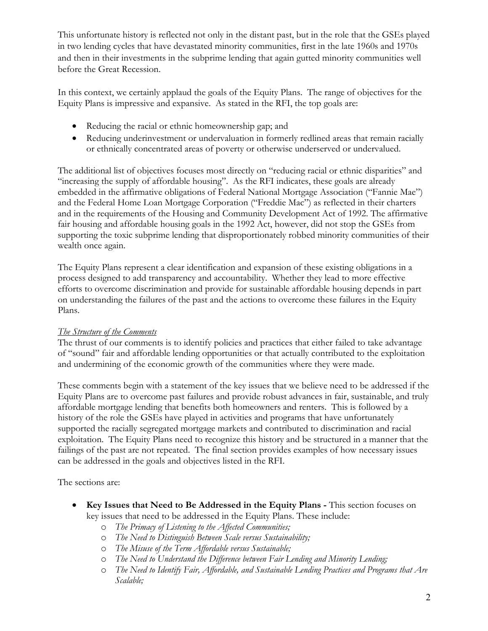This unfortunate history is reflected not only in the distant past, but in the role that the GSEs played in two lending cycles that have devastated minority communities, first in the late 1960s and 1970s and then in their investments in the subprime lending that again gutted minority communities well before the Great Recession.

In this context, we certainly applaud the goals of the Equity Plans. The range of objectives for the Equity Plans is impressive and expansive. As stated in the RFI, the top goals are:

- Reducing the racial or ethnic homeownership gap; and
- Reducing underinvestment or undervaluation in formerly redlined areas that remain racially or ethnically concentrated areas of poverty or otherwise underserved or undervalued.

The additional list of objectives focuses most directly on "reducing racial or ethnic disparities" and "increasing the supply of affordable housing". As the RFI indicates, these goals are already embedded in the affirmative obligations of Federal National Mortgage Association ("Fannie Mae") and the Federal Home Loan Mortgage Corporation ("Freddie Mac") as reflected in their charters and in the requirements of the Housing and Community Development Act of 1992. The affirmative fair housing and affordable housing goals in the 1992 Act, however, did not stop the GSEs from supporting the toxic subprime lending that disproportionately robbed minority communities of their wealth once again.

The Equity Plans represent a clear identification and expansion of these existing obligations in a process designed to add transparency and accountability. Whether they lead to more effective efforts to overcome discrimination and provide for sustainable affordable housing depends in part on understanding the failures of the past and the actions to overcome these failures in the Equity Plans.

#### *The Structure of the Comments*

The thrust of our comments is to identify policies and practices that either failed to take advantage of "sound" fair and affordable lending opportunities or that actually contributed to the exploitation and undermining of the economic growth of the communities where they were made.

These comments begin with a statement of the key issues that we believe need to be addressed if the Equity Plans are to overcome past failures and provide robust advances in fair, sustainable, and truly affordable mortgage lending that benefits both homeowners and renters. This is followed by a history of the role the GSEs have played in activities and programs that have unfortunately supported the racially segregated mortgage markets and contributed to discrimination and racial exploitation. The Equity Plans need to recognize this history and be structured in a manner that the failings of the past are not repeated. The final section provides examples of how necessary issues can be addressed in the goals and objectives listed in the RFI.

The sections are:

- **Key Issues that Need to Be Addressed in the Equity Plans -** This section focuses on key issues that need to be addressed in the Equity Plans. These include:
	- o *The Primacy of Listening to the Affected Communities;*
	- o *The Need to Distinguish Between Scale versus Sustainability;*
	- o *The Misuse of the Term Affordable versus Sustainable;*
	- o *The Need to Understand the Difference between Fair Lending and Minority Lending;*
	- o *The Need to Identify Fair, Affordable, and Sustainable Lending Practices and Programs that Are Scalable;*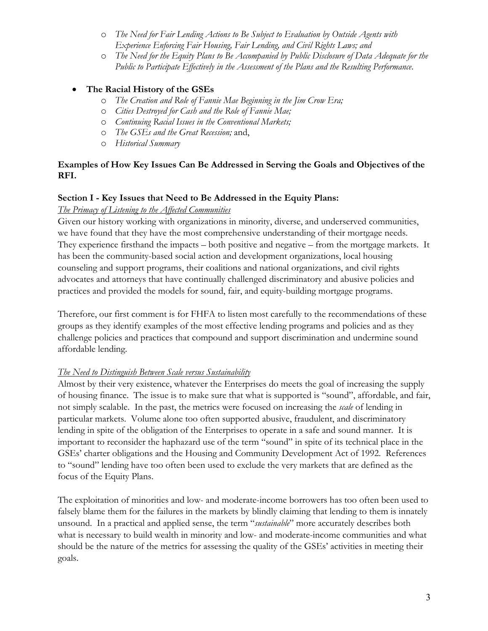- o *The Need for Fair Lending Actions to Be Subject to Evaluation by Outside Agents with Experience Enforcing Fair Housing, Fair Lending, and Civil Rights Laws; and*
- o *The Need for the Equity Plans to Be Accompanied by Public Disclosure of Data Adequate for the Public to Participate Effectively in the Assessment of the Plans and the Resulting Performance*.

## • **The Racial History of the GSEs**

- o *The Creation and Role of Fannie Mae Beginning in the Jim Crow Era;*
- o *Cities Destroyed for Cash and the Role of Fannie Mae;*
- o *Continuing Racial Issues in the Conventional Markets;*
- o *The GSEs and the Great Recession;* and,
- o *Historical Summary*

#### **Examples of How Key Issues Can Be Addressed in Serving the Goals and Objectives of the RFI.**

#### **Section I - Key Issues that Need to Be Addressed in the Equity Plans:**

#### *The Primacy of Listening to the Affected Communities*

Given our history working with organizations in minority, diverse, and underserved communities, we have found that they have the most comprehensive understanding of their mortgage needs. They experience firsthand the impacts – both positive and negative – from the mortgage markets. It has been the community-based social action and development organizations, local housing counseling and support programs, their coalitions and national organizations, and civil rights advocates and attorneys that have continually challenged discriminatory and abusive policies and practices and provided the models for sound, fair, and equity-building mortgage programs.

Therefore, our first comment is for FHFA to listen most carefully to the recommendations of these groups as they identify examples of the most effective lending programs and policies and as they challenge policies and practices that compound and support discrimination and undermine sound affordable lending.

#### *The Need to Distinguish Between Scale versus Sustainability*

Almost by their very existence, whatever the Enterprises do meets the goal of increasing the supply of housing finance. The issue is to make sure that what is supported is "sound", affordable, and fair, not simply scalable. In the past, the metrics were focused on increasing the *scale* of lending in particular markets. Volume alone too often supported abusive, fraudulent, and discriminatory lending in spite of the obligation of the Enterprises to operate in a safe and sound manner. It is important to reconsider the haphazard use of the term "sound" in spite of its technical place in the GSEs' charter obligations and the Housing and Community Development Act of 1992. References to "sound" lending have too often been used to exclude the very markets that are defined as the focus of the Equity Plans.

The exploitation of minorities and low- and moderate-income borrowers has too often been used to falsely blame them for the failures in the markets by blindly claiming that lending to them is innately unsound. In a practical and applied sense, the term "*sustainable*" more accurately describes both what is necessary to build wealth in minority and low- and moderate-income communities and what should be the nature of the metrics for assessing the quality of the GSEs' activities in meeting their goals.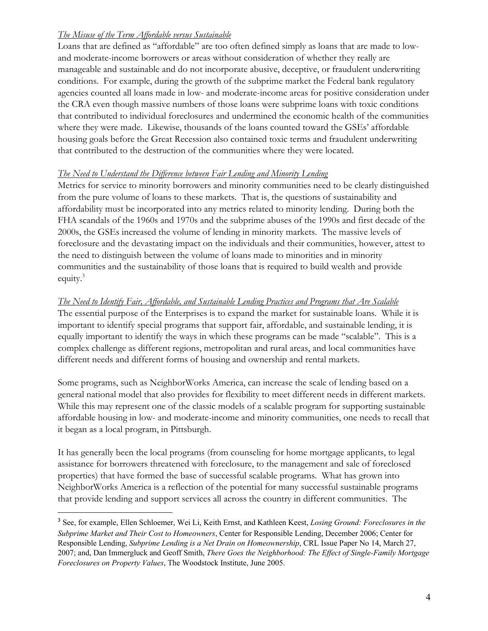## *The Misuse of the Term Affordable versus Sustainable*

Loans that are defined as "affordable" are too often defined simply as loans that are made to lowand moderate-income borrowers or areas without consideration of whether they really are manageable and sustainable and do not incorporate abusive, deceptive, or fraudulent underwriting conditions. For example, during the growth of the subprime market the Federal bank regulatory agencies counted all loans made in low- and moderate-income areas for positive consideration under the CRA even though massive numbers of those loans were subprime loans with toxic conditions that contributed to individual foreclosures and undermined the economic health of the communities where they were made. Likewise, thousands of the loans counted toward the GSEs' affordable housing goals before the Great Recession also contained toxic terms and fraudulent underwriting that contributed to the destruction of the communities where they were located.

#### *The Need to Understand the Difference between Fair Lending and Minority Lending*

Metrics for service to minority borrowers and minority communities need to be clearly distinguished from the pure volume of loans to these markets. That is, the questions of sustainability and affordability must be incorporated into any metrics related to minority lending. During both the FHA scandals of the 1960s and 1970s and the subprime abuses of the 1990s and first decade of the 2000s, the GSEs increased the volume of lending in minority markets. The massive levels of foreclosure and the devastating impact on the individuals and their communities, however, attest to the need to distinguish between the volume of loans made to minorities and in minority communities and the sustainability of those loans that is required to build wealth and provide equity.<sup>3</sup>

#### *The Need to Identify Fair, Affordable, and Sustainable Lending Practices and Programs that Are Scalable*

The essential purpose of the Enterprises is to expand the market for sustainable loans. While it is important to identify special programs that support fair, affordable, and sustainable lending, it is equally important to identify the ways in which these programs can be made "scalable". This is a complex challenge as different regions, metropolitan and rural areas, and local communities have different needs and different forms of housing and ownership and rental markets.

Some programs, such as NeighborWorks America, can increase the scale of lending based on a general national model that also provides for flexibility to meet different needs in different markets. While this may represent one of the classic models of a scalable program for supporting sustainable affordable housing in low- and moderate-income and minority communities, one needs to recall that it began as a local program, in Pittsburgh.

It has generally been the local programs (from counseling for home mortgage applicants, to legal assistance for borrowers threatened with foreclosure, to the management and sale of foreclosed properties) that have formed the base of successful scalable programs. What has grown into NeighborWorks America is a reflection of the potential for many successful sustainable programs that provide lending and support services all across the country in different communities. The

<sup>3</sup> See, for example, Ellen Schloemer, Wei Li, Keith Ernst, and Kathleen Keest, *Losing Ground: Foreclosures in the Subprime Market and Their Cost to Homeowners*, Center for Responsible Lending, December 2006; Center for Responsible Lending, *Subprime Lending is a Net Drain on Homeownership*, CRL Issue Paper No 14, March 27, 2007; and, Dan Immergluck and Geoff Smith, *There Goes the Neighborhood: The Effect of Single-Family Mortgage Foreclosures on Property Values*, The Woodstock Institute, June 2005.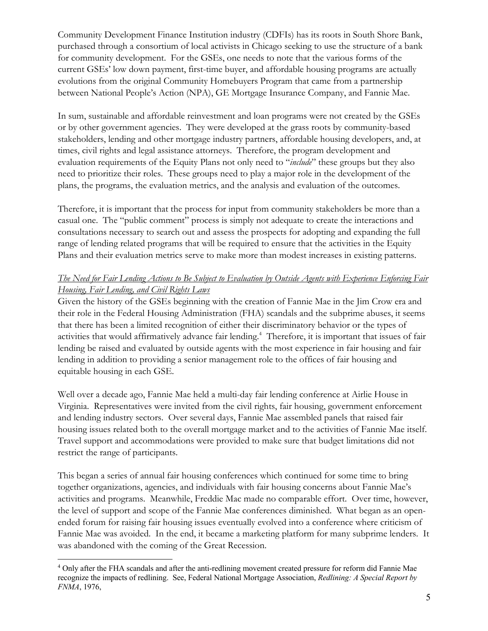Community Development Finance Institution industry (CDFIs) has its roots in South Shore Bank, purchased through a consortium of local activists in Chicago seeking to use the structure of a bank for community development. For the GSEs, one needs to note that the various forms of the current GSEs' low down payment, first-time buyer, and affordable housing programs are actually evolutions from the original Community Homebuyers Program that came from a partnership between National People's Action (NPA), GE Mortgage Insurance Company, and Fannie Mae.

In sum, sustainable and affordable reinvestment and loan programs were not created by the GSEs or by other government agencies. They were developed at the grass roots by community-based stakeholders, lending and other mortgage industry partners, affordable housing developers, and, at times, civil rights and legal assistance attorneys. Therefore, the program development and evaluation requirements of the Equity Plans not only need to "*include*" these groups but they also need to prioritize their roles. These groups need to play a major role in the development of the plans, the programs, the evaluation metrics, and the analysis and evaluation of the outcomes.

Therefore, it is important that the process for input from community stakeholders be more than a casual one. The "public comment" process is simply not adequate to create the interactions and consultations necessary to search out and assess the prospects for adopting and expanding the full range of lending related programs that will be required to ensure that the activities in the Equity Plans and their evaluation metrics serve to make more than modest increases in existing patterns.

#### *The Need for Fair Lending Actions to Be Subject to Evaluation by Outside Agents with Experience Enforcing Fair Housing, Fair Lending, and Civil Rights Laws*

Given the history of the GSEs beginning with the creation of Fannie Mae in the Jim Crow era and their role in the Federal Housing Administration (FHA) scandals and the subprime abuses, it seems that there has been a limited recognition of either their discriminatory behavior or the types of activities that would affirmatively advance fair lending.<sup>4</sup> Therefore, it is important that issues of fair lending be raised and evaluated by outside agents with the most experience in fair housing and fair lending in addition to providing a senior management role to the offices of fair housing and equitable housing in each GSE.

Well over a decade ago, Fannie Mae held a multi-day fair lending conference at Airlie House in Virginia. Representatives were invited from the civil rights, fair housing, government enforcement and lending industry sectors. Over several days, Fannie Mae assembled panels that raised fair housing issues related both to the overall mortgage market and to the activities of Fannie Mae itself. Travel support and accommodations were provided to make sure that budget limitations did not restrict the range of participants.

This began a series of annual fair housing conferences which continued for some time to bring together organizations, agencies, and individuals with fair housing concerns about Fannie Mae's activities and programs. Meanwhile, Freddie Mac made no comparable effort. Over time, however, the level of support and scope of the Fannie Mae conferences diminished. What began as an openended forum for raising fair housing issues eventually evolved into a conference where criticism of Fannie Mae was avoided. In the end, it became a marketing platform for many subprime lenders. It was abandoned with the coming of the Great Recession.

<sup>4</sup> Only after the FHA scandals and after the anti-redlining movement created pressure for reform did Fannie Mae recognize the impacts of redlining. See, Federal National Mortgage Association, *Redlining: A Special Report by FNMA*, 1976,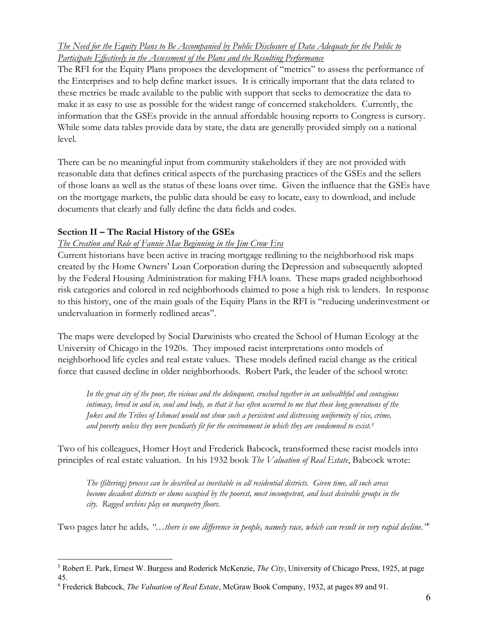## *The Need for the Equity Plans to Be Accompanied by Public Disclosure of Data Adequate for the Public to Participate Effectively in the Assessment of the Plans and the Resulting Performance*

The RFI for the Equity Plans proposes the development of "metrics" to assess the performance of the Enterprises and to help define market issues. It is critically important that the data related to these metrics be made available to the public with support that seeks to democratize the data to make it as easy to use as possible for the widest range of concerned stakeholders. Currently, the information that the GSEs provide in the annual affordable housing reports to Congress is cursory. While some data tables provide data by state, the data are generally provided simply on a national level.

There can be no meaningful input from community stakeholders if they are not provided with reasonable data that defines critical aspects of the purchasing practices of the GSEs and the sellers of those loans as well as the status of these loans over time. Given the influence that the GSEs have on the mortgage markets, the public data should be easy to locate, easy to download, and include documents that clearly and fully define the data fields and codes.

## **Section II – The Racial History of the GSEs**

## *The Creation and Role of Fannie Mae Beginning in the Jim Crow Era*

Current historians have been active in tracing mortgage redlining to the neighborhood risk maps created by the Home Owners' Loan Corporation during the Depression and subsequently adopted by the Federal Housing Administration for making FHA loans. These maps graded neighborhood risk categories and colored in red neighborhoods claimed to pose a high risk to lenders. In response to this history, one of the main goals of the Equity Plans in the RFI is "reducing underinvestment or undervaluation in formerly redlined areas".

The maps were developed by Social Darwinists who created the School of Human Ecology at the University of Chicago in the 1920s. They imposed racist interpretations onto models of neighborhood life cycles and real estate values. These models defined racial change as the critical force that caused decline in older neighborhoods. Robert Park, the leader of the school wrote:

*In the great city of the poor, the vicious and the delinquent, crushed together in an unhealthful and contagious intimacy, breed in and in, soul and body, so that it has often occurred to me that those long generations of the Jukes and the Tribes of Ishmael would not show such a persistent and distressing uniformity of vice, crime, and poverty unless they were peculiarly fit for the environment in which they are condemned to exist.5*

Two of his colleagues, Homer Hoyt and Frederick Babcock, transformed these racist models into principles of real estate valuation. In his 1932 book *The Valuation of Real Estate*, Babcock wrote:

*The (filtering) process can be described as inevitable in all residential districts. Given time, all such areas become decadent districts or slums occupied by the poorest, most incompetent, and least desirable groups in the city. Ragged urchins play on marquetry floors.*

Two pages later he adds*, "…there is one difference in people, namely race, which can result in very rapid decline."6*

<sup>5</sup> Robert E. Park, Ernest W. Burgess and Roderick McKenzie, *The City*, University of Chicago Press, 1925, at page 45.

<sup>6</sup> Frederick Babcock, *The Valuation of Real Estate*, McGraw Book Company, 1932, at pages 89 and 91.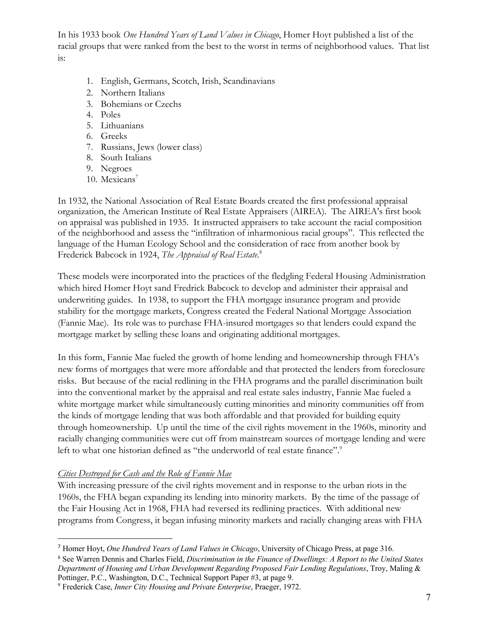In his 1933 book *One Hundred Years of Land Values in Chicago*, Homer Hoyt published a list of the racial groups that were ranked from the best to the worst in terms of neighborhood values. That list is:

- 1. English, Germans, Scotch, Irish, Scandinavians
- 2. Northern Italians
- 3. Bohemians or Czechs
- 4. Poles
- 5. Lithuanians
- 6. Greeks
- 7. Russians, Jews (lower class)
- 8. South Italians
- 9. Negroes
- 10. Mexicans<sup>7</sup>

In 1932, the National Association of Real Estate Boards created the first professional appraisal organization, the American Institute of Real Estate Appraisers (AIREA). The AIREA's first book on appraisal was published in 1935. It instructed appraisers to take account the racial composition of the neighborhood and assess the "infiltration of inharmonious racial groups". This reflected the language of the Human Ecology School and the consideration of race from another book by Frederick Babcock in 1924, *The Appraisal of Real Estate*. 8

These models were incorporated into the practices of the fledgling Federal Housing Administration which hired Homer Hoyt sand Fredrick Babcock to develop and administer their appraisal and underwriting guides. In 1938, to support the FHA mortgage insurance program and provide stability for the mortgage markets, Congress created the Federal National Mortgage Association (Fannie Mae). Its role was to purchase FHA-insured mortgages so that lenders could expand the mortgage market by selling these loans and originating additional mortgages.

In this form, Fannie Mae fueled the growth of home lending and homeownership through FHA's new forms of mortgages that were more affordable and that protected the lenders from foreclosure risks. But because of the racial redlining in the FHA programs and the parallel discrimination built into the conventional market by the appraisal and real estate sales industry, Fannie Mae fueled a white mortgage market while simultaneously cutting minorities and minority communities off from the kinds of mortgage lending that was both affordable and that provided for building equity through homeownership. Up until the time of the civil rights movement in the 1960s, minority and racially changing communities were cut off from mainstream sources of mortgage lending and were left to what one historian defined as "the underworld of real estate finance".<sup>9</sup>

#### *Cities Destroyed for Cash and the Role of Fannie Mae*

With increasing pressure of the civil rights movement and in response to the urban riots in the 1960s, the FHA began expanding its lending into minority markets. By the time of the passage of the Fair Housing Act in 1968, FHA had reversed its redlining practices. With additional new programs from Congress, it began infusing minority markets and racially changing areas with FHA

<sup>7</sup> Homer Hoyt, *One Hundred Years of Land Values in Chicago*, University of Chicago Press, at page 316.

<sup>8</sup> See Warren Dennis and Charles Field, *Discrimination in the Finance of Dwellings: A Report to the United States Department of Housing and Urban Development Regarding Proposed Fair Lending Regulations*, Troy, Maling & Pottinger, P.C., Washington, D.C., Technical Support Paper #3, at page 9.

<sup>9</sup> Frederick Case, *Inner City Housing and Private Enterprise*, Praeger, 1972.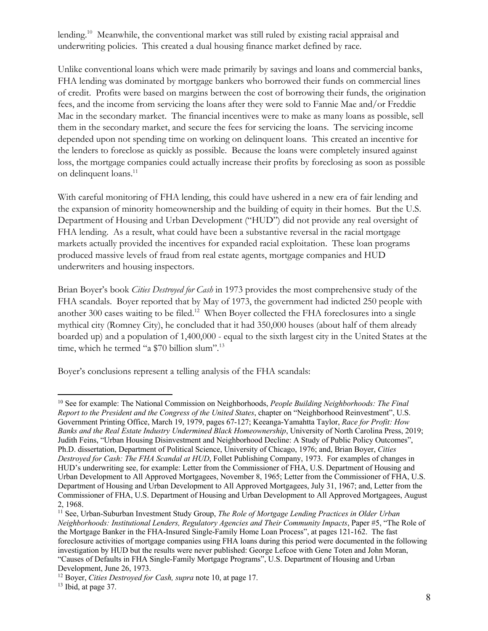lending.<sup>10</sup> Meanwhile, the conventional market was still ruled by existing racial appraisal and underwriting policies. This created a dual housing finance market defined by race.

Unlike conventional loans which were made primarily by savings and loans and commercial banks, FHA lending was dominated by mortgage bankers who borrowed their funds on commercial lines of credit. Profits were based on margins between the cost of borrowing their funds, the origination fees, and the income from servicing the loans after they were sold to Fannie Mae and/or Freddie Mac in the secondary market. The financial incentives were to make as many loans as possible, sell them in the secondary market, and secure the fees for servicing the loans. The servicing income depended upon not spending time on working on delinquent loans. This created an incentive for the lenders to foreclose as quickly as possible. Because the loans were completely insured against loss, the mortgage companies could actually increase their profits by foreclosing as soon as possible on delinquent loans.<sup>11</sup>

With careful monitoring of FHA lending, this could have ushered in a new era of fair lending and the expansion of minority homeownership and the building of equity in their homes. But the U.S. Department of Housing and Urban Development ("HUD") did not provide any real oversight of FHA lending. As a result, what could have been a substantive reversal in the racial mortgage markets actually provided the incentives for expanded racial exploitation. These loan programs produced massive levels of fraud from real estate agents, mortgage companies and HUD underwriters and housing inspectors.

Brian Boyer's book *Cities Destroyed for Cash* in 1973 provides the most comprehensive study of the FHA scandals. Boyer reported that by May of 1973, the government had indicted 250 people with another 300 cases waiting to be filed.<sup>12</sup> When Boyer collected the FHA foreclosures into a single mythical city (Romney City), he concluded that it had 350,000 houses (about half of them already boarded up) and a population of 1,400,000 - equal to the sixth largest city in the United States at the time, which he termed "a \$70 billion slum".<sup>13</sup>

Boyer's conclusions represent a telling analysis of the FHA scandals:

<sup>10</sup> See for example: The National Commission on Neighborhoods, *People Building Neighborhoods: The Final Report to the President and the Congress of the United States*, chapter on "Neighborhood Reinvestment", U.S. Government Printing Office, March 19, 1979, pages 67-127; Keeanga-Yamahtta Taylor, *Race for Profit: How Banks and the Real Estate Industry Undermined Black Homeownership*, University of North Carolina Press, 2019; Judith Feins, "Urban Housing Disinvestment and Neighborhood Decline: A Study of Public Policy Outcomes", Ph.D. dissertation, Department of Political Science, University of Chicago, 1976; and, Brian Boyer, *Cities Destroyed for Cash: The FHA Scandal at HUD*, Follet Publishing Company, 1973. For examples of changes in HUD's underwriting see, for example: Letter from the Commissioner of FHA, U.S. Department of Housing and Urban Development to All Approved Mortgagees, November 8, 1965; Letter from the Commissioner of FHA, U.S. Department of Housing and Urban Development to All Approved Mortgagees, July 31, 1967; and, Letter from the Commissioner of FHA, U.S. Department of Housing and Urban Development to All Approved Mortgagees, August 2, 1968.

<sup>&</sup>lt;sup>11</sup> See, Urban-Suburban Investment Study Group, *The Role of Mortgage Lending Practices in Older Urban Neighborhoods: Institutional Lenders, Regulatory Agencies and Their Community Impacts*, Paper #5, "The Role of the Mortgage Banker in the FHA-Insured Single-Family Home Loan Process", at pages 121-162. The fast foreclosure activities of mortgage companies using FHA loans during this period were documented in the following investigation by HUD but the results were never published: George Lefcoe with Gene Toten and John Moran, "Causes of Defaults in FHA Single-Family Mortgage Programs", U.S. Department of Housing and Urban Development, June 26, 1973.

<sup>12</sup> Boyer, *Cities Destroyed for Cash, supra* note 10, at page 17.

<sup>&</sup>lt;sup>13</sup> Ibid, at page 37.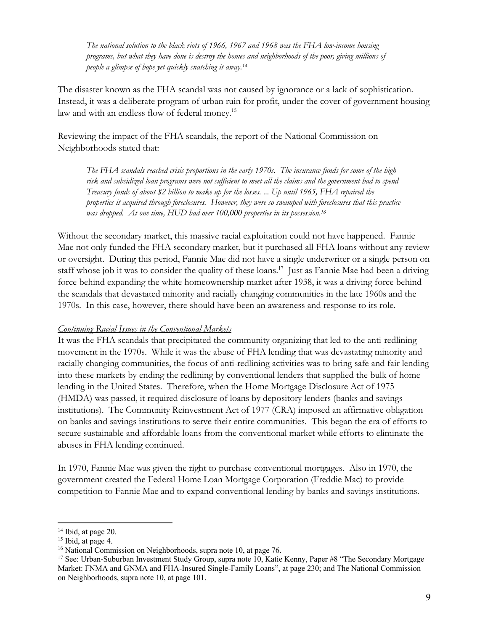*The national solution to the black riots of 1966, 1967 and 1968 was the FHA low-income housing programs, but what they have done is destroy the homes and neighborhoods of the poor, giving millions of people a glimpse of hope yet quickly snatching it away.14*

The disaster known as the FHA scandal was not caused by ignorance or a lack of sophistication. Instead, it was a deliberate program of urban ruin for profit, under the cover of government housing law and with an endless flow of federal money.<sup>15</sup>

Reviewing the impact of the FHA scandals, the report of the National Commission on Neighborhoods stated that:

*The FHA scandals reached crisis proportions in the early 1970s. The insurance funds for some of the high risk and subsidized loan programs were not sufficient to meet all the claims and the government had to spend Treasury funds of about \$2 billion to make up for the losses. ... Up until 1965, FHA repaired the properties it acquired through foreclosures. However, they were so swamped with foreclosures that this practice was dropped. At one time, HUD had over 100,000 properties in its possession.16*

Without the secondary market, this massive racial exploitation could not have happened. Fannie Mae not only funded the FHA secondary market, but it purchased all FHA loans without any review or oversight. During this period, Fannie Mae did not have a single underwriter or a single person on staff whose job it was to consider the quality of these loans.<sup>17</sup> Just as Fannie Mae had been a driving force behind expanding the white homeownership market after 1938, it was a driving force behind the scandals that devastated minority and racially changing communities in the late 1960s and the 1970s. In this case, however, there should have been an awareness and response to its role.

#### *Continuing Racial Issues in the Conventional Markets*

It was the FHA scandals that precipitated the community organizing that led to the anti-redlining movement in the 1970s. While it was the abuse of FHA lending that was devastating minority and racially changing communities, the focus of anti-redlining activities was to bring safe and fair lending into these markets by ending the redlining by conventional lenders that supplied the bulk of home lending in the United States. Therefore, when the Home Mortgage Disclosure Act of 1975 (HMDA) was passed, it required disclosure of loans by depository lenders (banks and savings institutions). The Community Reinvestment Act of 1977 (CRA) imposed an affirmative obligation on banks and savings institutions to serve their entire communities. This began the era of efforts to secure sustainable and affordable loans from the conventional market while efforts to eliminate the abuses in FHA lending continued.

In 1970, Fannie Mae was given the right to purchase conventional mortgages. Also in 1970, the government created the Federal Home Loan Mortgage Corporation (Freddie Mac) to provide competition to Fannie Mae and to expand conventional lending by banks and savings institutions.

<sup>&</sup>lt;sup>14</sup> Ibid, at page 20.

<sup>&</sup>lt;sup>15</sup> Ibid, at page 4.

<sup>&</sup>lt;sup>16</sup> National Commission on Neighborhoods, supra note 10, at page 76.<br><sup>17</sup> See: Urban-Suburban Investment Study Group, supra note 10, Katie Kenny, Paper #8 "The Secondary Mortgage Market: FNMA and GNMA and FHA-Insured Single-Family Loans", at page 230; and The National Commission on Neighborhoods, supra note 10, at page 101.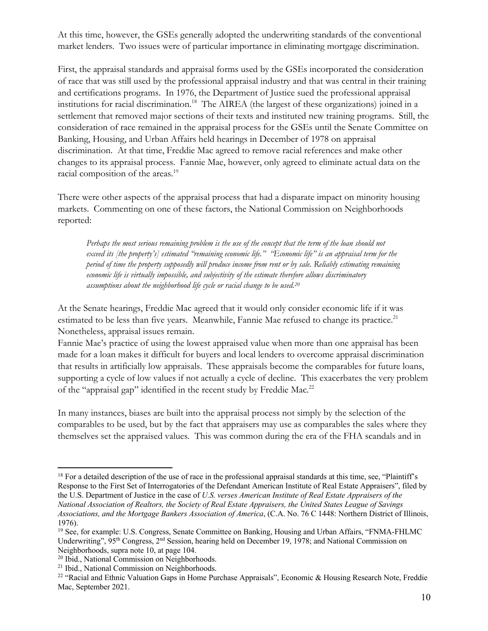At this time, however, the GSEs generally adopted the underwriting standards of the conventional market lenders. Two issues were of particular importance in eliminating mortgage discrimination.

First, the appraisal standards and appraisal forms used by the GSEs incorporated the consideration of race that was still used by the professional appraisal industry and that was central in their training and certifications programs. In 1976, the Department of Justice sued the professional appraisal institutions for racial discrimination.18 The AIREA (the largest of these organizations) joined in a settlement that removed major sections of their texts and instituted new training programs. Still, the consideration of race remained in the appraisal process for the GSEs until the Senate Committee on Banking, Housing, and Urban Affairs held hearings in December of 1978 on appraisal discrimination. At that time, Freddie Mac agreed to remove racial references and make other changes to its appraisal process. Fannie Mae, however, only agreed to eliminate actual data on the racial composition of the areas.<sup>19</sup>

There were other aspects of the appraisal process that had a disparate impact on minority housing markets. Commenting on one of these factors, the National Commission on Neighborhoods reported:

*Perhaps the most serious remaining problem is the use of the concept that the term of the loan should not exceed its [the property's] estimated "remaining economic life." "Economic life" is an appraisal term for the period of time the property supposedly will produce income from rent or by sale. Reliably estimating remaining economic life is virtually impossible, and subjectivity of the estimate therefore allows discriminatory assumptions about the neighborhood life cycle or racial change to be used.20*

At the Senate hearings, Freddie Mac agreed that it would only consider economic life if it was estimated to be less than five years. Meanwhile, Fannie Mae refused to change its practice.<sup>21</sup> Nonetheless, appraisal issues remain.

Fannie Mae's practice of using the lowest appraised value when more than one appraisal has been made for a loan makes it difficult for buyers and local lenders to overcome appraisal discrimination that results in artificially low appraisals. These appraisals become the comparables for future loans, supporting a cycle of low values if not actually a cycle of decline. This exacerbates the very problem of the "appraisal gap" identified in the recent study by Freddie Mac.<sup>22</sup>

In many instances, biases are built into the appraisal process not simply by the selection of the comparables to be used, but by the fact that appraisers may use as comparables the sales where they themselves set the appraised values. This was common during the era of the FHA scandals and in

<sup>&</sup>lt;sup>18</sup> For a detailed description of the use of race in the professional appraisal standards at this time, see, "Plaintiff's Response to the First Set of Interrogatories of the Defendant American Institute of Real Estate Appraisers", filed by the U.S. Department of Justice in the case of *U.S. verses American Institute of Real Estate Appraisers of the National Association of Realtors, the Society of Real Estate Appraisers, the United States League of Savings Associations, and the Mortgage Bankers Association of America*, (C.A. No. 76 C 1448: Northern District of Illinois, 1976).

<sup>19</sup> See, for example: U.S. Congress, Senate Committee on Banking, Housing and Urban Affairs, "FNMA-FHLMC Underwriting", 95<sup>th</sup> Congress, 2<sup>nd</sup> Session, hearing held on December 19, 1978; and National Commission on Neighborhoods, supra note 10, at page 104.

<sup>20</sup> Ibid., National Commission on Neighborhoods.

<sup>&</sup>lt;sup>21</sup> Ibid., National Commission on Neighborhoods.

<sup>22</sup> "Racial and Ethnic Valuation Gaps in Home Purchase Appraisals", Economic & Housing Research Note, Freddie Mac, September 2021.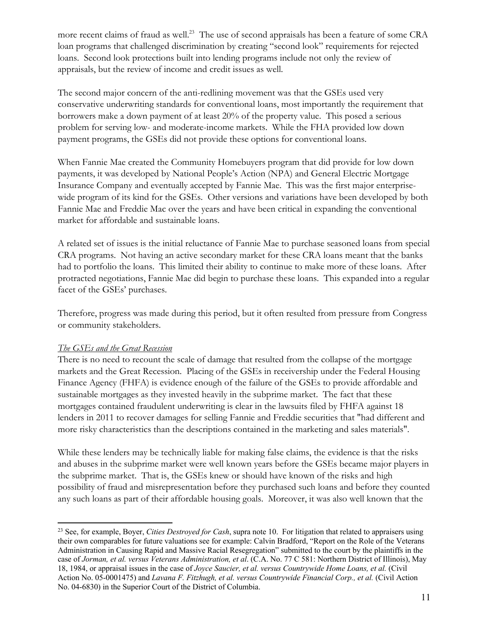more recent claims of fraud as well.<sup>23</sup> The use of second appraisals has been a feature of some CRA loan programs that challenged discrimination by creating "second look" requirements for rejected loans. Second look protections built into lending programs include not only the review of appraisals, but the review of income and credit issues as well.

The second major concern of the anti-redlining movement was that the GSEs used very conservative underwriting standards for conventional loans, most importantly the requirement that borrowers make a down payment of at least 20% of the property value. This posed a serious problem for serving low- and moderate-income markets. While the FHA provided low down payment programs, the GSEs did not provide these options for conventional loans.

When Fannie Mae created the Community Homebuyers program that did provide for low down payments, it was developed by National People's Action (NPA) and General Electric Mortgage Insurance Company and eventually accepted by Fannie Mae. This was the first major enterprisewide program of its kind for the GSEs. Other versions and variations have been developed by both Fannie Mae and Freddie Mac over the years and have been critical in expanding the conventional market for affordable and sustainable loans.

A related set of issues is the initial reluctance of Fannie Mae to purchase seasoned loans from special CRA programs. Not having an active secondary market for these CRA loans meant that the banks had to portfolio the loans. This limited their ability to continue to make more of these loans. After protracted negotiations, Fannie Mae did begin to purchase these loans. This expanded into a regular facet of the GSEs' purchases.

Therefore, progress was made during this period, but it often resulted from pressure from Congress or community stakeholders.

#### *The GSEs and the Great Recession*

There is no need to recount the scale of damage that resulted from the collapse of the mortgage markets and the Great Recession. Placing of the GSEs in receivership under the Federal Housing Finance Agency (FHFA) is evidence enough of the failure of the GSEs to provide affordable and sustainable mortgages as they invested heavily in the subprime market. The fact that these mortgages contained fraudulent underwriting is clear in the lawsuits filed by FHFA against 18 lenders in 2011 to recover damages for selling Fannie and Freddie securities that "had different and more risky characteristics than the descriptions contained in the marketing and sales materials".

While these lenders may be technically liable for making false claims, the evidence is that the risks and abuses in the subprime market were well known years before the GSEs became major players in the subprime market. That is, the GSEs knew or should have known of the risks and high possibility of fraud and misrepresentation before they purchased such loans and before they counted any such loans as part of their affordable housing goals. Moreover, it was also well known that the

<sup>23</sup> See, for example, Boyer, *Cities Destroyed for Cash*, supra note 10. For litigation that related to appraisers using their own comparables for future valuations see for example: Calvin Bradford, "Report on the Role of the Veterans Administration in Causing Rapid and Massive Racial Resegregation" submitted to the court by the plaintiffs in the case of *Jorman, et al. versus Veterans Administration, et al*. (C.A. No. 77 C 581: Northern District of Illinois), May 18, 1984, or appraisal issues in the case of *Joyce Saucier, et al. versus Countrywide Home Loans, et al.* (Civil Action No. 05-0001475) and *Lavana F. Fitzhugh, et al. versus Countrywide Financial Corp., et al.* (Civil Action No. 04-6830) in the Superior Court of the District of Columbia.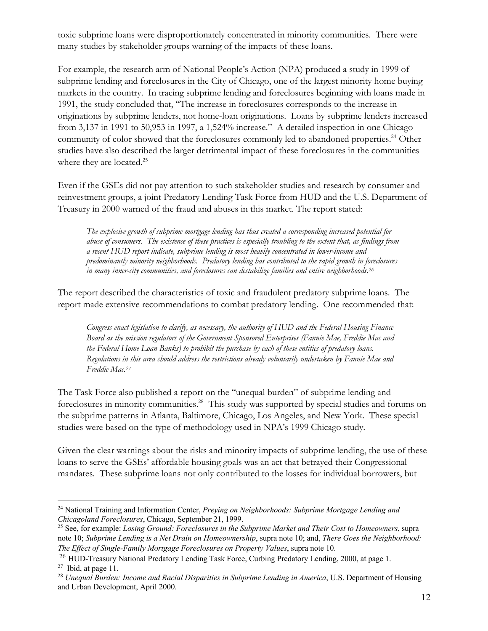toxic subprime loans were disproportionately concentrated in minority communities. There were many studies by stakeholder groups warning of the impacts of these loans.

For example, the research arm of National People's Action (NPA) produced a study in 1999 of subprime lending and foreclosures in the City of Chicago, one of the largest minority home buying markets in the country. In tracing subprime lending and foreclosures beginning with loans made in 1991, the study concluded that, "The increase in foreclosures corresponds to the increase in originations by subprime lenders, not home-loan originations. Loans by subprime lenders increased from 3,137 in 1991 to 50,953 in 1997, a 1,524% increase." A detailed inspection in one Chicago community of color showed that the foreclosures commonly led to abandoned properties.<sup>24</sup> Other studies have also described the larger detrimental impact of these foreclosures in the communities where they are located.<sup>25</sup>

Even if the GSEs did not pay attention to such stakeholder studies and research by consumer and reinvestment groups, a joint Predatory Lending Task Force from HUD and the U.S. Department of Treasury in 2000 warned of the fraud and abuses in this market. The report stated:

*The explosive growth of subprime mortgage lending has thus created a corresponding increased potential for abuse of consumers. The existence of these practices is especially troubling to the extent that, as findings from a recent HUD report indicate, subprime lending is most heavily concentrated in lower-income and predominantly minority neighborhoods. Predatory lending has contributed to the rapid growth in foreclosures in many inner-city communities, and foreclosures can destabilize families and entire neighborhoods.26*

The report described the characteristics of toxic and fraudulent predatory subprime loans. The report made extensive recommendations to combat predatory lending. One recommended that:

*Congress enact legislation to clarify, as necessary, the authority of HUD and the Federal Housing Finance Board as the mission regulators of the Government Sponsored Enterprises (Fannie Mae, Freddie Mac and the Federal Home Loan Banks) to prohibit the purchase by each of these entities of predatory loans. Regulations in this area should address the restrictions already voluntarily undertaken by Fannie Mae and Freddie Mac.27*

The Task Force also published a report on the "unequal burden" of subprime lending and foreclosures in minority communities.<sup>28</sup> This study was supported by special studies and forums on the subprime patterns in Atlanta, Baltimore, Chicago, Los Angeles, and New York. These special studies were based on the type of methodology used in NPA's 1999 Chicago study.

Given the clear warnings about the risks and minority impacts of subprime lending, the use of these loans to serve the GSEs' affordable housing goals was an act that betrayed their Congressional mandates. These subprime loans not only contributed to the losses for individual borrowers, but

<sup>24</sup> National Training and Information Center, *Preying on Neighborhoods: Subprime Mortgage Lending and Chicagoland Foreclosures*, Chicago, September 21, 1999.

<sup>25</sup> See, for example: *Losing Ground: Foreclosures in the Subprime Market and Their Cost to Homeowners*, supra note 10; *Subprime Lending is a Net Drain on Homeownership*, supra note 10; and, *There Goes the Neighborhood: The Effect of Single-Family Mortgage Foreclosures on Property Values*, supra note 10.

<sup>&</sup>lt;sup>26</sup> HUD-Treasury National Predatory Lending Task Force, Curbing Predatory Lending, 2000, at page 1.

 $27$  Ibid, at page 11.

<sup>&</sup>lt;sup>28</sup> *Unequal Burden: Income and Racial Disparities in Subprime Lending in America*, U.S. Department of Housing and Urban Development, April 2000.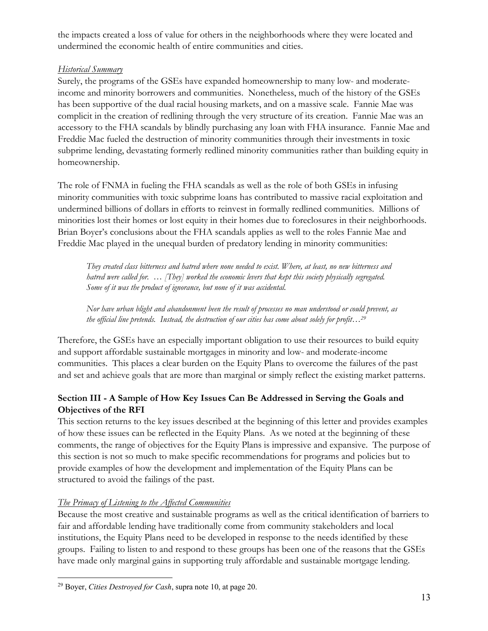the impacts created a loss of value for others in the neighborhoods where they were located and undermined the economic health of entire communities and cities.

## *Historical Summary*

Surely, the programs of the GSEs have expanded homeownership to many low- and moderateincome and minority borrowers and communities. Nonetheless, much of the history of the GSEs has been supportive of the dual racial housing markets, and on a massive scale. Fannie Mae was complicit in the creation of redlining through the very structure of its creation. Fannie Mae was an accessory to the FHA scandals by blindly purchasing any loan with FHA insurance. Fannie Mae and Freddie Mac fueled the destruction of minority communities through their investments in toxic subprime lending, devastating formerly redlined minority communities rather than building equity in homeownership.

The role of FNMA in fueling the FHA scandals as well as the role of both GSEs in infusing minority communities with toxic subprime loans has contributed to massive racial exploitation and undermined billions of dollars in efforts to reinvest in formally redlined communities. Millions of minorities lost their homes or lost equity in their homes due to foreclosures in their neighborhoods. Brian Boyer's conclusions about the FHA scandals applies as well to the roles Fannie Mae and Freddie Mac played in the unequal burden of predatory lending in minority communities:

*They created class bitterness and hatred where none needed to exist. Where, at least, no new bitterness and hatred were called for. … [They] worked the economic levers that kept this society physically segregated. Some of it was the product of ignorance, but none of it was accidental.*

*Nor have urban blight and abandonment been the result of processes no man understood or could prevent, as the official line pretends. Instead, the destruction of our cities has come about solely for profit…29*

Therefore, the GSEs have an especially important obligation to use their resources to build equity and support affordable sustainable mortgages in minority and low- and moderate-income communities. This places a clear burden on the Equity Plans to overcome the failures of the past and set and achieve goals that are more than marginal or simply reflect the existing market patterns.

# **Section III - A Sample of How Key Issues Can Be Addressed in Serving the Goals and Objectives of the RFI**

This section returns to the key issues described at the beginning of this letter and provides examples of how these issues can be reflected in the Equity Plans. As we noted at the beginning of these comments, the range of objectives for the Equity Plans is impressive and expansive. The purpose of this section is not so much to make specific recommendations for programs and policies but to provide examples of how the development and implementation of the Equity Plans can be structured to avoid the failings of the past.

## *The Primacy of Listening to the Affected Communities*

Because the most creative and sustainable programs as well as the critical identification of barriers to fair and affordable lending have traditionally come from community stakeholders and local institutions, the Equity Plans need to be developed in response to the needs identified by these groups. Failing to listen to and respond to these groups has been one of the reasons that the GSEs have made only marginal gains in supporting truly affordable and sustainable mortgage lending.

<sup>29</sup> Boyer, *Cities Destroyed for Cash*, supra note 10, at page 20.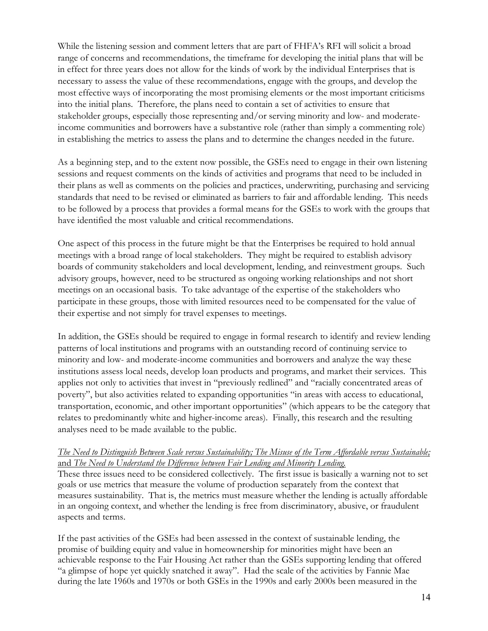While the listening session and comment letters that are part of FHFA's RFI will solicit a broad range of concerns and recommendations, the timeframe for developing the initial plans that will be in effect for three years does not allow for the kinds of work by the individual Enterprises that is necessary to assess the value of these recommendations, engage with the groups, and develop the most effective ways of incorporating the most promising elements or the most important criticisms into the initial plans. Therefore, the plans need to contain a set of activities to ensure that stakeholder groups, especially those representing and/or serving minority and low- and moderateincome communities and borrowers have a substantive role (rather than simply a commenting role) in establishing the metrics to assess the plans and to determine the changes needed in the future.

As a beginning step, and to the extent now possible, the GSEs need to engage in their own listening sessions and request comments on the kinds of activities and programs that need to be included in their plans as well as comments on the policies and practices, underwriting, purchasing and servicing standards that need to be revised or eliminated as barriers to fair and affordable lending. This needs to be followed by a process that provides a formal means for the GSEs to work with the groups that have identified the most valuable and critical recommendations.

One aspect of this process in the future might be that the Enterprises be required to hold annual meetings with a broad range of local stakeholders. They might be required to establish advisory boards of community stakeholders and local development, lending, and reinvestment groups. Such advisory groups, however, need to be structured as ongoing working relationships and not short meetings on an occasional basis. To take advantage of the expertise of the stakeholders who participate in these groups, those with limited resources need to be compensated for the value of their expertise and not simply for travel expenses to meetings.

In addition, the GSEs should be required to engage in formal research to identify and review lending patterns of local institutions and programs with an outstanding record of continuing service to minority and low- and moderate-income communities and borrowers and analyze the way these institutions assess local needs, develop loan products and programs, and market their services. This applies not only to activities that invest in "previously redlined" and "racially concentrated areas of poverty", but also activities related to expanding opportunities "in areas with access to educational, transportation, economic, and other important opportunities" (which appears to be the category that relates to predominantly white and higher-income areas). Finally, this research and the resulting analyses need to be made available to the public.

#### *The Need to Distinguish Between Scale versus Sustainability; The Misuse of the Term Affordable versus Sustainable;*  and *The Need to Understand the Difference between Fair Lending and Minority Lending.*

These three issues need to be considered collectively. The first issue is basically a warning not to set goals or use metrics that measure the volume of production separately from the context that measures sustainability. That is, the metrics must measure whether the lending is actually affordable in an ongoing context, and whether the lending is free from discriminatory, abusive, or fraudulent aspects and terms.

If the past activities of the GSEs had been assessed in the context of sustainable lending, the promise of building equity and value in homeownership for minorities might have been an achievable response to the Fair Housing Act rather than the GSEs supporting lending that offered "a glimpse of hope yet quickly snatched it away". Had the scale of the activities by Fannie Mae during the late 1960s and 1970s or both GSEs in the 1990s and early 2000s been measured in the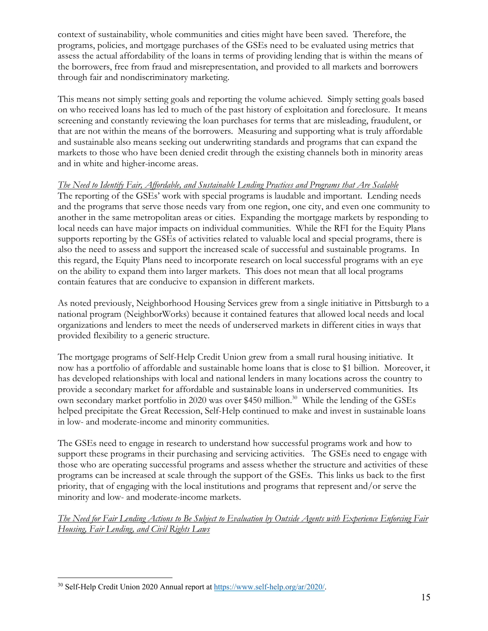context of sustainability, whole communities and cities might have been saved. Therefore, the programs, policies, and mortgage purchases of the GSEs need to be evaluated using metrics that assess the actual affordability of the loans in terms of providing lending that is within the means of the borrowers, free from fraud and misrepresentation, and provided to all markets and borrowers through fair and nondiscriminatory marketing.

This means not simply setting goals and reporting the volume achieved. Simply setting goals based on who received loans has led to much of the past history of exploitation and foreclosure. It means screening and constantly reviewing the loan purchases for terms that are misleading, fraudulent, or that are not within the means of the borrowers. Measuring and supporting what is truly affordable and sustainable also means seeking out underwriting standards and programs that can expand the markets to those who have been denied credit through the existing channels both in minority areas and in white and higher-income areas.

#### *The Need to Identify Fair, Affordable, and Sustainable Lending Practices and Programs that Are Scalable*

The reporting of the GSEs' work with special programs is laudable and important. Lending needs and the programs that serve those needs vary from one region, one city, and even one community to another in the same metropolitan areas or cities. Expanding the mortgage markets by responding to local needs can have major impacts on individual communities. While the RFI for the Equity Plans supports reporting by the GSEs of activities related to valuable local and special programs, there is also the need to assess and support the increased scale of successful and sustainable programs. In this regard, the Equity Plans need to incorporate research on local successful programs with an eye on the ability to expand them into larger markets. This does not mean that all local programs contain features that are conducive to expansion in different markets.

As noted previously, Neighborhood Housing Services grew from a single initiative in Pittsburgh to a national program (NeighborWorks) because it contained features that allowed local needs and local organizations and lenders to meet the needs of underserved markets in different cities in ways that provided flexibility to a generic structure.

The mortgage programs of Self-Help Credit Union grew from a small rural housing initiative. It now has a portfolio of affordable and sustainable home loans that is close to \$1 billion. Moreover, it has developed relationships with local and national lenders in many locations across the country to provide a secondary market for affordable and sustainable loans in underserved communities. Its own secondary market portfolio in 2020 was over \$450 million.<sup>30</sup> While the lending of the GSEs helped precipitate the Great Recession, Self-Help continued to make and invest in sustainable loans in low- and moderate-income and minority communities.

The GSEs need to engage in research to understand how successful programs work and how to support these programs in their purchasing and servicing activities. The GSEs need to engage with those who are operating successful programs and assess whether the structure and activities of these programs can be increased at scale through the support of the GSEs. This links us back to the first priority, that of engaging with the local institutions and programs that represent and/or serve the minority and low- and moderate-income markets.

*The Need for Fair Lending Actions to Be Subject to Evaluation by Outside Agents with Experience Enforcing Fair Housing, Fair Lending, and Civil Rights Laws*

<sup>&</sup>lt;sup>30</sup> Self-Help Credit Union 2020 Annual report at https://www.self-help.org/ar/2020/.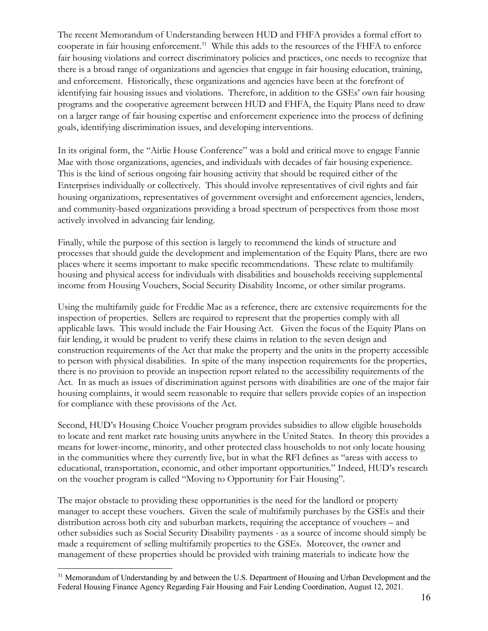The recent Memorandum of Understanding between HUD and FHFA provides a formal effort to cooperate in fair housing enforcement.<sup>31</sup> While this adds to the resources of the FHFA to enforce fair housing violations and correct discriminatory policies and practices, one needs to recognize that there is a broad range of organizations and agencies that engage in fair housing education, training, and enforcement. Historically, these organizations and agencies have been at the forefront of identifying fair housing issues and violations. Therefore, in addition to the GSEs' own fair housing programs and the cooperative agreement between HUD and FHFA, the Equity Plans need to draw on a larger range of fair housing expertise and enforcement experience into the process of defining goals, identifying discrimination issues, and developing interventions.

In its original form, the "Airlie House Conference" was a bold and critical move to engage Fannie Mae with those organizations, agencies, and individuals with decades of fair housing experience. This is the kind of serious ongoing fair housing activity that should be required either of the Enterprises individually or collectively. This should involve representatives of civil rights and fair housing organizations, representatives of government oversight and enforcement agencies, lenders, and community-based organizations providing a broad spectrum of perspectives from those most actively involved in advancing fair lending.

Finally, while the purpose of this section is largely to recommend the kinds of structure and processes that should guide the development and implementation of the Equity Plans, there are two places where it seems important to make specific recommendations. These relate to multifamily housing and physical access for individuals with disabilities and households receiving supplemental income from Housing Vouchers, Social Security Disability Income, or other similar programs.

Using the multifamily guide for Freddie Mac as a reference, there are extensive requirements for the inspection of properties. Sellers are required to represent that the properties comply with all applicable laws. This would include the Fair Housing Act. Given the focus of the Equity Plans on fair lending, it would be prudent to verify these claims in relation to the seven design and construction requirements of the Act that make the property and the units in the property accessible to person with physical disabilities. In spite of the many inspection requirements for the properties, there is no provision to provide an inspection report related to the accessibility requirements of the Act. In as much as issues of discrimination against persons with disabilities are one of the major fair housing complaints, it would seem reasonable to require that sellers provide copies of an inspection for compliance with these provisions of the Act.

Second, HUD's Housing Choice Voucher program provides subsidies to allow eligible households to locate and rent market rate housing units anywhere in the United States. In theory this provides a means for lower-income, minority, and other protected class households to not only locate housing in the communities where they currently live, but in what the RFI defines as "areas with access to educational, transportation, economic, and other important opportunities." Indeed, HUD's research on the voucher program is called "Moving to Opportunity for Fair Housing".

The major obstacle to providing these opportunities is the need for the landlord or property manager to accept these vouchers. Given the scale of multifamily purchases by the GSEs and their distribution across both city and suburban markets, requiring the acceptance of vouchers – and other subsidies such as Social Security Disability payments - as a source of income should simply be made a requirement of selling multifamily properties to the GSEs. Moreover, the owner and management of these properties should be provided with training materials to indicate how the

<sup>&</sup>lt;sup>31</sup> Memorandum of Understanding by and between the U.S. Department of Housing and Urban Development and the Federal Housing Finance Agency Regarding Fair Housing and Fair Lending Coordination, August 12, 2021.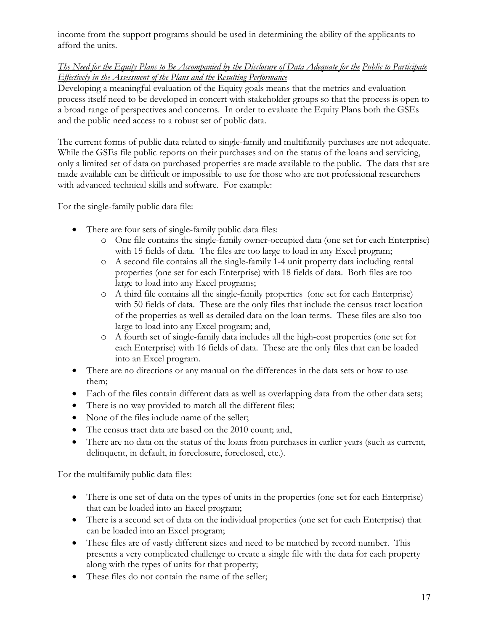income from the support programs should be used in determining the ability of the applicants to afford the units.

#### *The Need for the Equity Plans to Be Accompanied by the Disclosure of Data Adequate for the Public to Participate Effectively in the Assessment of the Plans and the Resulting Performance*

Developing a meaningful evaluation of the Equity goals means that the metrics and evaluation process itself need to be developed in concert with stakeholder groups so that the process is open to a broad range of perspectives and concerns. In order to evaluate the Equity Plans both the GSEs and the public need access to a robust set of public data.

The current forms of public data related to single-family and multifamily purchases are not adequate. While the GSEs file public reports on their purchases and on the status of the loans and servicing, only a limited set of data on purchased properties are made available to the public. The data that are made available can be difficult or impossible to use for those who are not professional researchers with advanced technical skills and software. For example:

For the single-family public data file:

- There are four sets of single-family public data files:
	- o One file contains the single-family owner-occupied data (one set for each Enterprise) with 15 fields of data. The files are too large to load in any Excel program;
	- o A second file contains all the single-family 1-4 unit property data including rental properties (one set for each Enterprise) with 18 fields of data. Both files are too large to load into any Excel programs;
	- o A third file contains all the single-family properties (one set for each Enterprise) with 50 fields of data. These are the only files that include the census tract location of the properties as well as detailed data on the loan terms. These files are also too large to load into any Excel program; and,
	- o A fourth set of single-family data includes all the high-cost properties (one set for each Enterprise) with 16 fields of data. These are the only files that can be loaded into an Excel program.
- There are no directions or any manual on the differences in the data sets or how to use them;
- Each of the files contain different data as well as overlapping data from the other data sets;
- There is no way provided to match all the different files;
- None of the files include name of the seller;
- The census tract data are based on the 2010 count; and,
- There are no data on the status of the loans from purchases in earlier years (such as current, delinquent, in default, in foreclosure, foreclosed, etc.).

For the multifamily public data files:

- There is one set of data on the types of units in the properties (one set for each Enterprise) that can be loaded into an Excel program;
- There is a second set of data on the individual properties (one set for each Enterprise) that can be loaded into an Excel program;
- These files are of vastly different sizes and need to be matched by record number. This presents a very complicated challenge to create a single file with the data for each property along with the types of units for that property;
- These files do not contain the name of the seller;